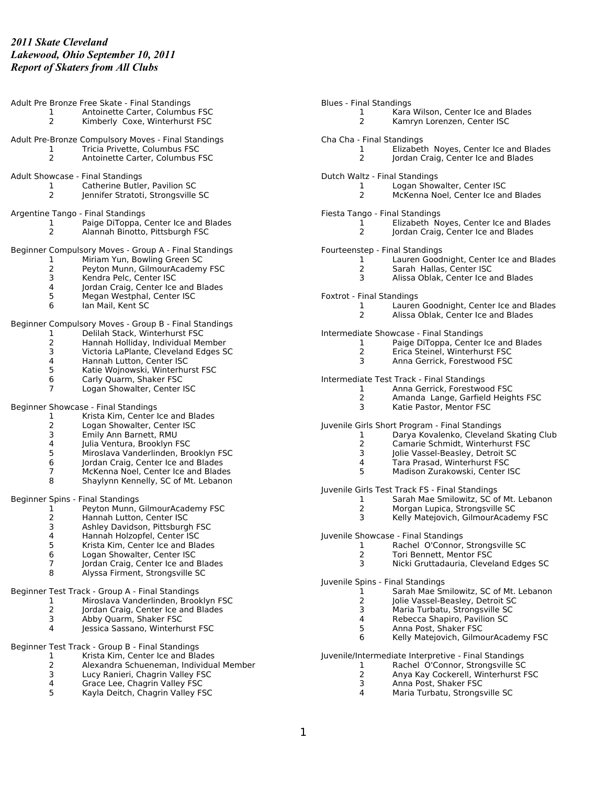|                     | Adult Pre Bronze Free Skate - Final Standings                                           | <b>Blues - Final Standings</b> |                                                                                |
|---------------------|-----------------------------------------------------------------------------------------|--------------------------------|--------------------------------------------------------------------------------|
| 1                   | Antoinette Carter, Columbus FSC                                                         | 1                              | Kara Wilson, Center Ice and Blades                                             |
| $\overline{2}$      | Kimberly Coxe, Winterhurst FSC                                                          | $\mathbf{2}^{\prime}$          | Kamryn Lorenzen, Center ISC                                                    |
|                     | Adult Pre-Bronze Compulsory Moves - Final Standings                                     | Cha Cha - Final Standings      |                                                                                |
| 1                   | Tricia Privette, Columbus FSC                                                           | 1                              | Elizabeth Noyes, Center Ice and Blades                                         |
| $\overline{2}$      | Antoinette Carter, Columbus FSC                                                         | $\overline{2}$                 | Jordan Craig, Center Ice and Blades                                            |
|                     | Adult Showcase - Final Standings                                                        |                                | Dutch Waltz - Final Standings                                                  |
| 1                   | Catherine Butler, Pavilion SC                                                           | 1                              | Logan Showalter, Center ISC                                                    |
| 2                   | Jennifer Stratoti, Strongsville SC                                                      | 2                              | McKenna Noel, Center Ice and Blades                                            |
|                     |                                                                                         |                                |                                                                                |
|                     | Argentine Tango - Final Standings                                                       |                                | Fiesta Tango - Final Standings                                                 |
| 1<br>2              | Paige DiToppa, Center Ice and Blades                                                    | $\mathbf{1}$<br>2              | Elizabeth Noyes, Center Ice and Blades                                         |
|                     | Alannah Binotto, Pittsburgh FSC                                                         |                                | Jordan Craig, Center Ice and Blades                                            |
|                     | Beginner Compulsory Moves - Group A - Final Standings                                   |                                | Fourteenstep - Final Standings                                                 |
| 1                   | Miriam Yun, Bowling Green SC                                                            | $\mathbf{1}$                   | Lauren Goodnight, Center Ice and Blades                                        |
| $\overline{2}$      | Peyton Munn, GilmourAcademy FSC                                                         | $\overline{2}$                 | Sarah Hallas, Center ISC                                                       |
| 3                   | Kendra Pelc, Center ISC                                                                 | 3                              | Alissa Oblak, Center Ice and Blades                                            |
| $\overline{4}$      | Jordan Craig, Center Ice and Blades                                                     |                                |                                                                                |
| 5<br>6              | Megan Westphal, Center ISC                                                              | Foxtrot - Final Standings      |                                                                                |
|                     | Ian Mail, Kent SC                                                                       | $\mathbf{1}$<br>$\overline{2}$ | Lauren Goodnight, Center Ice and Blades<br>Alissa Oblak, Center Ice and Blades |
|                     | Beginner Compulsory Moves - Group B - Final Standings                                   |                                |                                                                                |
| 1                   | Delilah Stack, Winterhurst FSC                                                          |                                | Intermediate Showcase - Final Standings                                        |
| $\overline{2}$      | Hannah Holliday, Individual Member                                                      | $\mathbf{1}$                   | Paige DiToppa, Center Ice and Blades                                           |
| 3                   | Victoria LaPlante, Cleveland Edges SC                                                   | $\overline{2}$                 | Erica Steinel, Winterhurst FSC                                                 |
| 4                   | Hannah Lutton, Center ISC                                                               | 3                              | Anna Gerrick, Forestwood FSC                                                   |
| 5                   | Katie Wojnowski, Winterhurst FSC                                                        |                                |                                                                                |
| 6                   | Carly Quarm, Shaker FSC                                                                 |                                | Intermediate Test Track - Final Standings                                      |
| $\overline{7}$      | Logan Showalter, Center ISC                                                             | 1                              | Anna Gerrick, Forestwood FSC                                                   |
|                     |                                                                                         | $\overline{2}$                 | Amanda Lange, Garfield Heights FSC                                             |
|                     | Beginner Showcase - Final Standings                                                     | 3                              | Katie Pastor, Mentor FSC                                                       |
| 1                   | Krista Kim, Center Ice and Blades                                                       |                                |                                                                                |
| 2                   | Logan Showalter, Center ISC                                                             |                                | Juvenile Girls Short Program - Final Standings                                 |
| 3                   | Emily Ann Barnett, RMU                                                                  | 1                              | Darya Kovalenko, Cleveland Skating Club                                        |
| 4                   | Julia Ventura, Brooklyn FSC                                                             | 2                              | Camarie Schmidt, Winterhurst FSC                                               |
| 5                   | Miroslava Vanderlinden, Brooklyn FSC                                                    | 3                              | Jolie Vassel-Beasley, Detroit SC                                               |
| 6                   | Jordan Craig, Center Ice and Blades                                                     | 4<br>5                         | Tara Prasad, Winterhurst FSC                                                   |
| $\overline{7}$<br>8 | McKenna Noel, Center Ice and Blades<br>Shaylynn Kennelly, SC of Mt. Lebanon             |                                | Madison Zurakowski, Center ISC                                                 |
|                     |                                                                                         |                                | Juvenile Girls Test Track FS - Final Standings                                 |
|                     | Beginner Spins - Final Standings                                                        | $\mathbf{1}$                   | Sarah Mae Smilowitz, SC of Mt. Lebanon                                         |
| 1                   | Peyton Munn, GilmourAcademy FSC                                                         | 2                              | Morgan Lupica, Strongsville SC                                                 |
| 2                   | Hannah Lutton, Center ISC                                                               | 3                              | Kelly Matejovich, GilmourAcademy FSC                                           |
| 3                   | Ashley Davidson, Pittsburgh FSC                                                         |                                |                                                                                |
| 4                   | Hannah Holzopfel, Center ISC                                                            |                                | Juvenile Showcase - Final Standings                                            |
| 5                   | Krista Kim, Center Ice and Blades                                                       | 1                              | Rachel O'Connor, Strongsville SC                                               |
| 6                   | Logan Showalter, Center ISC                                                             | 2                              | Tori Bennett, Mentor FSC                                                       |
| 7                   | Jordan Craig, Center Ice and Blades                                                     | 3                              | Nicki Gruttadauria, Cleveland Edges SC                                         |
| 8                   | Alyssa Firment, Strongsville SC                                                         |                                | Juvenile Spins - Final Standings                                               |
|                     |                                                                                         |                                | Sarah Mae Smilowitz, SC of Mt. Lebanon                                         |
| 1                   | Beginner Test Track - Group A - Final Standings<br>Miroslava Vanderlinden, Brooklyn FSC | 2                              | Jolie Vassel-Beasley, Detroit SC                                               |
| 2                   | Jordan Craig, Center Ice and Blades                                                     | 3                              | Maria Turbatu, Strongsville SC                                                 |
| 3                   | Abby Quarm, Shaker FSC                                                                  | 4                              | Rebecca Shapiro, Pavilion SC                                                   |
| 4                   | Jessica Sassano, Winterhurst FSC                                                        | 5                              | Anna Post, Shaker FSC                                                          |
|                     |                                                                                         | 6                              | Kelly Matejovich, GilmourAcademy FSC                                           |
|                     | Beginner Test Track - Group B - Final Standings                                         |                                |                                                                                |
| 1                   | Krista Kim, Center Ice and Blades                                                       |                                | Juvenile/Intermediate Interpretive - Final Standings                           |
| 2                   | Alexandra Schueneman, Individual Member                                                 | 1                              | Rachel O'Connor, Strongsville SC                                               |
| 3                   | Lucy Ranieri, Chagrin Valley FSC                                                        | $\overline{2}$                 | Anya Kay Cockerell, Winterhurst FSC                                            |

- Lucy Ranieri, Chagrin Valley FSC
- Grace Lee, Chagrin Valley FSC Kayla Deitch, Chagrin Valley FSC

 Anna Post, Shaker FSC Maria Turbatu, Strongsville SC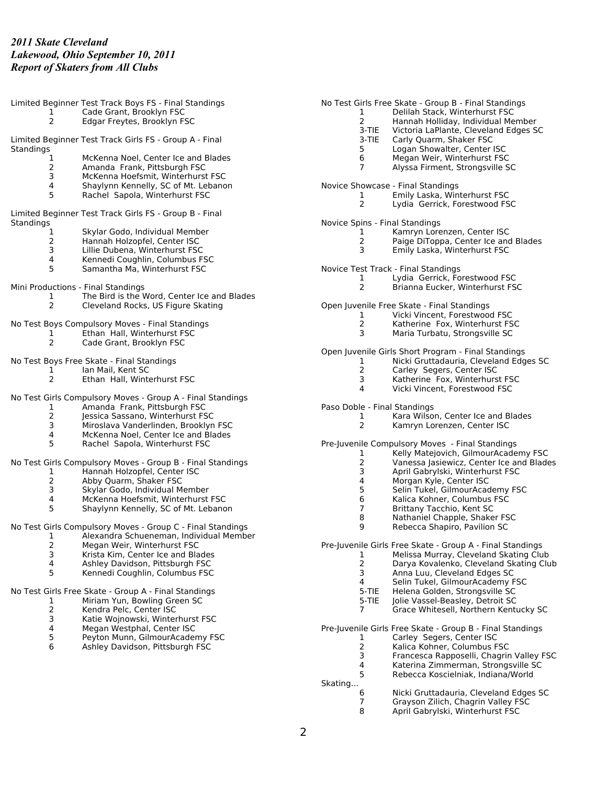|                                    | Limited Beginner Test Track Boys FS - Final Standings      |                                | No Test Girls Free Skate - Group B - Final Standings      |
|------------------------------------|------------------------------------------------------------|--------------------------------|-----------------------------------------------------------|
| 1                                  | Cade Grant, Brooklyn FSC                                   | 1                              | Delilah Stack, Winterhurst FSC                            |
| $\overline{2}$                     | Edgar Freytes, Brooklyn FSC                                | $\mathbf{2}^{\prime}$          | Hannah Holliday, Individual Member                        |
|                                    |                                                            | 3-TIE                          | Victoria LaPlante, Cleveland Edges SC                     |
|                                    | Limited Beginner Test Track Girls FS - Group A - Final     | 3-TIE                          | Carly Quarm, Shaker FSC                                   |
| Standings                          |                                                            | 5.                             | Logan Showalter, Center ISC                               |
| 1                                  | McKenna Noel, Center Ice and Blades                        | 6                              | Megan Weir, Winterhurst FSC                               |
| 2                                  | Amanda Frank, Pittsburgh FSC                               | 7                              | Alyssa Firment, Strongsville SC                           |
| 3                                  | McKenna Hoefsmit, Winterhurst FSC                          |                                |                                                           |
| 4                                  | Shaylynn Kennelly, SC of Mt. Lebanon                       |                                | Novice Showcase - Final Standings                         |
| 5                                  | Rachel Sapola, Winterhurst FSC                             | 1                              | Emily Laska, Winterhurst FSC                              |
|                                    |                                                            | 2                              | Lydia Gerrick, Forestwood FSC                             |
|                                    | Limited Beginner Test Track Girls FS - Group B - Final     |                                |                                                           |
| Standings                          |                                                            | Novice Spins - Final Standings |                                                           |
| 1                                  | Skylar Godo, Individual Member                             | 1                              | Kamryn Lorenzen, Center ISC                               |
| 2                                  | Hannah Holzopfel, Center ISC                               | 2                              | Paige DiToppa, Center Ice and Blades                      |
| 3                                  | Lillie Dubena, Winterhurst FSC                             | 3                              | Emily Laska, Winterhurst FSC                              |
| 4                                  | Kennedi Coughlin, Columbus FSC                             |                                |                                                           |
| 5                                  | Samantha Ma, Winterhurst FSC                               |                                | Novice Test Track - Final Standings                       |
|                                    |                                                            | 1                              | Lydia Gerrick, Forestwood FSC                             |
| Mini Productions - Final Standings |                                                            | $\overline{2}$                 | Brianna Eucker, Winterhurst FSC                           |
| 1                                  | The Bird is the Word, Center Ice and Blades                |                                |                                                           |
| $\overline{2}$                     | Cleveland Rocks, US Figure Skating                         |                                | Open Juvenile Free Skate - Final Standings                |
|                                    |                                                            | $\mathbf{1}$                   | Vicki Vincent, Forestwood FSC                             |
|                                    | No Test Boys Compulsory Moves - Final Standings            | $\overline{2}$                 | Katherine Fox, Winterhurst FSC                            |
| 1                                  | Ethan Hall, Winterhurst FSC                                | 3                              | Maria Turbatu, Strongsville SC                            |
| $\overline{2}$                     | Cade Grant, Brooklyn FSC                                   |                                |                                                           |
|                                    |                                                            |                                | Open Juvenile Girls Short Program - Final Standings       |
|                                    | No Test Boys Free Skate - Final Standings                  | 1                              | Nicki Gruttadauria, Cleveland Edges SC                    |
| 1                                  | Ian Mail, Kent SC                                          | $\overline{2}$                 | Carley Segers, Center ISC                                 |
| $\overline{2}$                     | Ethan Hall, Winterhurst FSC                                | 3                              | Katherine Fox, Winterhurst FSC                            |
|                                    |                                                            | 4                              | Vicki Vincent, Forestwood FSC                             |
|                                    | No Test Girls Compulsory Moves - Group A - Final Standings |                                |                                                           |
| 1                                  | Amanda Frank, Pittsburgh FSC                               | Paso Doble - Final Standings   |                                                           |
| 2                                  | Jessica Sassano, Winterhurst FSC                           | 1                              | Kara Wilson, Center Ice and Blades                        |
| 3                                  | Miroslava Vanderlinden, Brooklyn FSC                       | $\overline{2}$                 | Kamryn Lorenzen, Center ISC                               |
| 4                                  | McKenna Noel, Center Ice and Blades                        |                                |                                                           |
| 5                                  | Rachel Sapola, Winterhurst FSC                             |                                | Pre-Juvenile Compulsory Moves - Final Standings           |
|                                    |                                                            | 1                              | Kelly Matejovich, GilmourAcademy FSC                      |
|                                    | No Test Girls Compulsory Moves - Group B - Final Standings | 2                              | Vanessa Jasiewicz, Center Ice and Blades                  |
| 1                                  | Hannah Holzopfel, Center ISC                               | 3                              | April Gabrylski, Winterhurst FSC                          |
| $\overline{\mathbf{c}}$            | Abby Quarm, Shaker FSC                                     | 4                              | Morgan Kyle, Center ISC                                   |
| 3                                  | Skylar Godo, Individual Member                             | 5                              | Selin Tukel, GilmourAcademy FSC                           |
| 4                                  | McKenna Hoefsmit, Winterhurst FSC                          | 6                              | Kalica Kohner, Columbus FSC                               |
| 5                                  | Shaylynn Kennelly, SC of Mt. Lebanon                       | 7                              | Brittany Tacchio, Kent SC                                 |
|                                    |                                                            | 8                              | Nathaniel Chapple, Shaker FSC                             |
|                                    | No Test Girls Compulsory Moves - Group C - Final Standings | 9                              | Rebecca Shapiro, Pavilion SC                              |
|                                    | 1 Alexandra Schueneman, Individual Member                  |                                |                                                           |
| $\overline{\mathbf{c}}$            | Megan Weir, Winterhurst FSC                                |                                | Pre-Juvenile Girls Free Skate - Group A - Final Standings |
| 3                                  | Krista Kim, Center Ice and Blades                          |                                | Melissa Murray, Cleveland Skating Club                    |
| 4                                  | Ashley Davidson, Pittsburgh FSC                            | 2                              | Darya Kovalenko, Cleveland Skating Club                   |
| 5                                  | Kennedi Coughlin, Columbus FSC                             | 3                              | Anna Luu, Cleveland Edges SC                              |
|                                    |                                                            | 4                              | Selin Tukel, GilmourAcademy FSC                           |
|                                    | No Test Girls Free Skate - Group A - Final Standings       | 5-TIE                          | Helena Golden, Strongsville SC                            |
| 1                                  | Miriam Yun, Bowling Green SC                               | 5-TIE                          | Jolie Vassel-Beasley, Detroit SC                          |
| 2                                  | Kendra Pelc, Center ISC                                    | 7                              | Grace Whitesell, Northern Kentucky SC                     |
| 3                                  | Katie Wojnowski, Winterhurst FSC                           |                                |                                                           |
| 4                                  | Megan Westphal, Center ISC                                 |                                | Pre-Juvenile Girls Free Skate - Group B - Final Standings |
| 5                                  | Peyton Munn, GilmourAcademy FSC                            | 1                              | Carley Segers, Center ISC                                 |
| 6                                  | Ashley Davidson, Pittsburgh FSC                            | 2                              | Kalica Kohner, Columbus FSC                               |
|                                    |                                                            | 3                              | Francesca Rapposelli, Chagrin Valley FSC                  |
|                                    |                                                            | 4                              | Katerina Zimmerman, Strongsville SC                       |
|                                    |                                                            | 5                              | Rebecca Koscielniak, Indiana/World                        |
|                                    |                                                            | Skating                        |                                                           |
|                                    |                                                            | 6                              | Nicki Gruttadauria, Cleveland Edges SC                    |
|                                    |                                                            | 7                              | Grayson Zilich, Chagrin Valley FSC                        |
|                                    |                                                            | 8                              | April Gabrylski, Winterhurst FSC                          |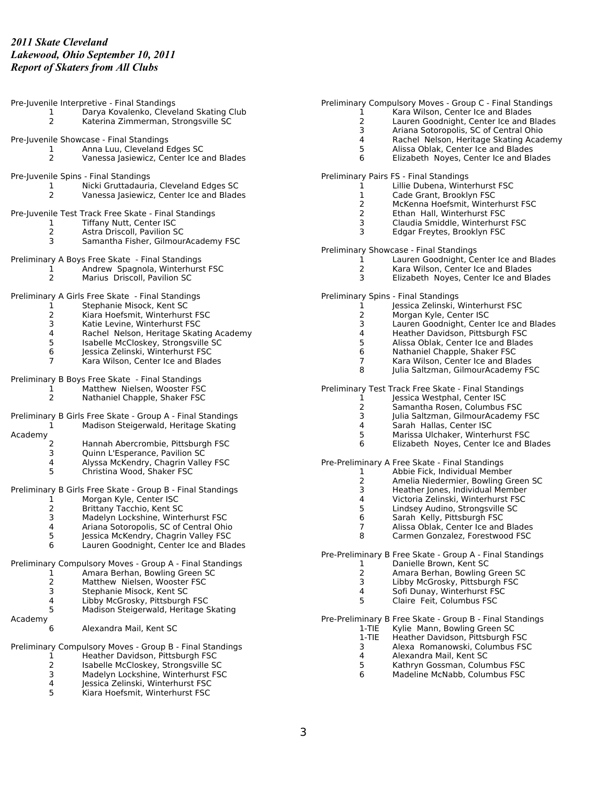| 1<br>$\overline{2}$                  | Pre-Juvenile Interpretive - Final Standings<br>Darya Kovalenko, Cleveland Skating Club<br>Katerina Zimmerman, Strongsville SC                                                                                                                                                                                                                              | Pro |
|--------------------------------------|------------------------------------------------------------------------------------------------------------------------------------------------------------------------------------------------------------------------------------------------------------------------------------------------------------------------------------------------------------|-----|
| 1<br>2                               | Pre-Juvenile Showcase - Final Standings<br>Anna Luu, Cleveland Edges SC<br>Vanessa Jasiewicz, Center Ice and Blades                                                                                                                                                                                                                                        |     |
| 1<br>2                               | Pre-Juvenile Spins - Final Standings<br>Nicki Gruttadauria, Cleveland Edges SC<br>Vanessa Jasiewicz, Center Ice and Blades                                                                                                                                                                                                                                 | Pre |
| 1<br>$\overline{2}$<br>3             | Pre-Juvenile Test Track Free Skate - Final Standings<br>Tiffany Nutt, Center ISC<br>Astra Driscoll, Pavilion SC<br>Samantha Fisher, GilmourAcademy FSC                                                                                                                                                                                                     |     |
| 1<br>2                               | Preliminary A Boys Free Skate - Final Standings<br>Andrew Spagnola, Winterhurst FSC<br>Marius Driscoll, Pavilion SC                                                                                                                                                                                                                                        | Pro |
| 1<br>2<br>3<br>4<br>5<br>6<br>7      | Preliminary A Girls Free Skate - Final Standings<br>Stephanie Misock, Kent SC<br>Kiara Hoefsmit, Winterhurst FSC<br>Katie Levine. Winterhurst FSC<br>Rachel Nelson, Heritage Skating Academy<br>Isabelle McCloskey, Strongsville SC<br>Jessica Zelinski, Winterhurst FSC<br>Kara Wilson, Center Ice and Blades                                             | Pro |
| 1<br>2                               | Preliminary B Boys Free Skate - Final Standings<br>Matthew Nielsen, Wooster FSC<br>Nathaniel Chapple, Shaker FSC                                                                                                                                                                                                                                           | Pro |
| 1<br>Academy<br>2<br>3               | Preliminary B Girls Free Skate - Group A - Final Standings<br>Madison Steigerwald, Heritage Skating<br>Hannah Abercrombie, Pittsburgh FSC<br>Quinn L'Esperance, Pavilion SC                                                                                                                                                                                |     |
| 4<br>5<br>1<br>2<br>3<br>4<br>5<br>6 | Alyssa McKendry, Chagrin Valley FSC<br>Christina Wood, Shaker FSC<br>Preliminary B Girls Free Skate - Group B - Final Standings<br>Morgan Kyle, Center ISC<br>Brittany Tacchio, Kent SC<br>Madelyn Lockshine, Winterhurst FSC<br>Ariana Sotoropolis, SC of Central Ohio<br>Jessica McKendry, Chagrin Valley FSC<br>Lauren Goodnight, Center Ice and Blades | Pro |
| 1<br>2<br>3<br>4<br>5                | Preliminary Compulsory Moves - Group A - Final Standings<br>Amara Berhan, Bowling Green SC<br>Matthew Nielsen, Wooster FSC<br>Stephanie Misock, Kent SC<br>Libby McGrosky, Pittsburgh FSC<br>Madison Steigerwald, Heritage Skating                                                                                                                         | Pro |
| Academy<br>6                         | Alexandra Mail, Kent SC                                                                                                                                                                                                                                                                                                                                    | Pro |
| ı<br>2<br>3<br>4<br>5                | Preliminary Compulsory Moves - Group B - Final Standings<br>Heather Davidson, Pittsburgh FSC<br>Isabelle McCloskey, Strongsville SC<br>Madelyn Lockshine, Winterhurst FSC<br>Jessica Zelinski, Winterhurst FSC<br>Kiara Hoefsmit, Winterhurst FSC                                                                                                          |     |

eliminary Compulsory Moves - Group C - Final Standings

- 1 Kara Wilson, Center Ice and Blades
- 2 Lauren Goodnight, Center Ice and Blades<br>3 Ariana Sotoropolis, SC of Central Ohio
- Ariana Sotoropolis, SC of Central Ohio
- 4 Rachel Nelson, Heritage Skating Academy<br>5 Alissa Oblak, Center Ice and Blades
- 5 Alissa Oblak, Center Ice and Blades<br>6 Elizabeth Noyes, Center Ice and Bla
- 6 Elizabeth Noyes, Center Ice and Blades

eliminary Pairs FS - Final Standings

- 1 Lillie Dubena, Winterhurst FSC<br>1 Cade Grant, Brooklyn FSC
- 1 Cade Grant, Brooklyn FSC<br>2 McKenna Hoefsmit, Winter
- 2 McKenna Hoefsmit, Winterhurst FSC<br>2 Ethan Hall, Winterhurst FSC
- 2 Ethan Hall, Winterhurst FSC<br>3 Claudia Smiddle, Winterhurst
- 3 Claudia Smiddle, Winterhurst FSC
- 3 Edgar Freytes, Brooklyn FSC

eliminary Showcase - Final Standings

- 1 Lauren Goodnight, Center Ice and Blades<br>2 Kara Wilson, Center Ice and Blades
- 2 Kara Wilson, Center Ice and Blades<br>3 Elizabeth Noves, Center Ice and Bla
	- 3 Elizabeth Noyes, Center Ice and Blades

eliminary Spins - Final Standings

- 1 Jessica Zelinski, Winterhurst FSC<br>2 Morgan Kyle, Center ISC
- Morgan Kyle, Center ISC
- 3 Lauren Goodnight, Center Ice and Blades
- 4 Heather Davidson, Pittsburgh FSC<br>5 Alissa Oblak, Center Ice and Blade
- 5 Alissa Oblak, Center Ice and Blades
- 6 Nathaniel Chapple, Shaker FSC
- 7 Kara Wilson, Center Ice and Blades<br>8 Iulia Saltzman, GilmourAcademy FS Julia Saltzman, GilmourAcademy FSC

eliminary Test Track Free Skate - Final Standings

- 1 Jessica Westphal, Center ISC<br>2 Samantha Rosen, Columbus 2 Samantha Rosen, Columbus FSC
- 
- 3 Julia Saltzman, GilmourAcademy FSC<br>4 Sarah Hallas, Center ISC
- 4 Sarah Hallas, Center ISC<br>5 Marissa Ulchaker, Winterl 5 Marissa Ulchaker, Winterhurst FSC
- 6 Elizabeth Noyes, Center Ice and Blades

e-Preliminary A Free Skate - Final Standings

- 1 Abbie Fick, Individual Member
- 2 Amelia Niedermier, Bowling Green SC<br>3 Heather Iones, Individual Member
- 3 Heather Jones, Individual Member<br>4 Victoria Zelinski, Winterhurst FSC
- 4 Victoria Zelinski, Winterhurst FSC<br>5 Lindsev Audino, Strongsville SC
- 5 Lindsey Audino, Strongsville SC<br>6 Sarah Kelly, Pittsburgh FSC 6 Sarah Kelly, Pittsburgh FSC
- 7 Alissa Oblak, Center Ice and Blades
- 8 Carmen Gonzalez, Forestwood FSC

e-Preliminary B Free Skate - Group A - Final Standings

- 1 Danielle Brown, Kent SC
	- 2 Amara Berhan, Bowling Green SC<br>3 Libby McGrosky, Pittsburgh FSC
	- 3 Libby McGrosky, Pittsburgh FSC<br>4 Sofi Dunav. Winterhurst FSC
	- 4 Sofi Dunay, Winterhurst FSC<br>5 Claire Feit. Columbus FSC
	- 5 Claire Feit, Columbus FSC

e-Preliminary B Free Skate - Group B - Final Standings

- 1-TIE Kylie Mann, Bowling Green SC<br>1-TIE Heather Davidson, Pittsburgh F
	- Heather Davidson, Pittsburgh FSC
	- 3 Alexa Romanowski, Columbus FSC
	- 4 Alexandra Mail, Kent SC
	- 5 Kathryn Gossman, Columbus FSC
	- 6 Madeline McNabb, Columbus FSC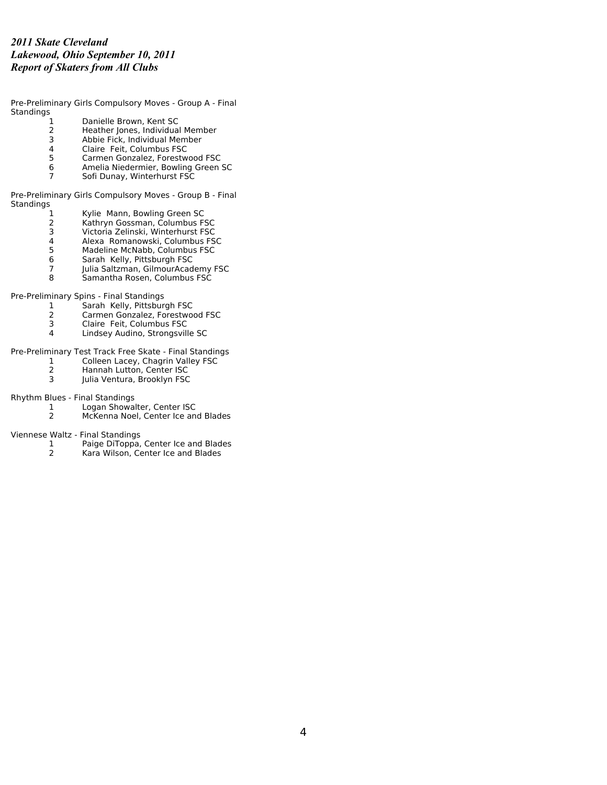Pre-Preliminary Girls Compulsory Moves - Group A - Final Standings<br>1

- 1 Danielle Brown, Kent SC<br>2 Heather Jones, Individual
- 2 Heather Jones, Individual Member<br>3 Abbie Fick, Individual Member
- 3 Abbie Fick, Individual Member<br>4 Claire Feit, Columbus FSC
- 4 Claire Feit, Columbus FSC<br>5 Carmen Gonzalez, Forestw
- 5 Carmen Gonzalez, Forestwood FSC
- 6 Amelia Niedermier, Bowling Green SC<br>7 Sofi Dunav. Winterhurst FSC Sofi Dunay, Winterhurst FSC

Pre-Preliminary Girls Compulsory Moves - Group B - Final Standings

- 1 Kylie Mann, Bowling Green SC<br>2 Kathryn Gossman, Columbus F!
- 2 Kathryn Gossman, Columbus FSC<br>3 Victoria Zelinski, Winterhurst FSC
- 3 Victoria Zelinski, Winterhurst FSC
- 4 Alexa Romanowski, Columbus FSC
- 5 Madeline McNabb, Columbus FSC<br>6 Sarah Kelly, Pittsburgh FSC<br>7 Julia Saltzman, GilmourAcademy F
- 6 Sarah Kelly, Pittsburgh FSC
- 7 Julia Saltzman, GilmourAcademy FSC<br>8 Samantha Rosen, Columbus FSC
- Samantha Rosen, Columbus FSC

Pre-Preliminary Spins - Final Standings

- 1 Sarah Kelly, Pittsburgh FSC<br>2 Carmen Gonzalez, Forestwo
- 2 Carmen Gonzalez, Forestwood FSC
- 3 Claire Feit, Columbus FSC<br>4 Lindsey Audino, Strongsvill
- 4 Lindsey Audino, Strongsville SC

Pre-Preliminary Test Track Free Skate - Final Standings

- 1 Colleen Lacey, Chagrin Valley FSC<br>2 Hannah Lutton, Center ISC
- 2 Hannah Lutton, Center ISC<br>3 Iulia Ventura, Brooklyn FSC
- Julia Ventura, Brooklyn FSC

Rhythm Blues - Final Standings

- 1 Logan Showalter, Center ISC<br>2 McKenna Noel, Center Ice an
	- 2 McKenna Noel, Center Ice and Blades

Viennese Waltz - Final Standings

- 1 Paige DiToppa, Center Ice and Blades<br>2 Kara Wilson, Center Ice and Blades
- Kara Wilson, Center Ice and Blades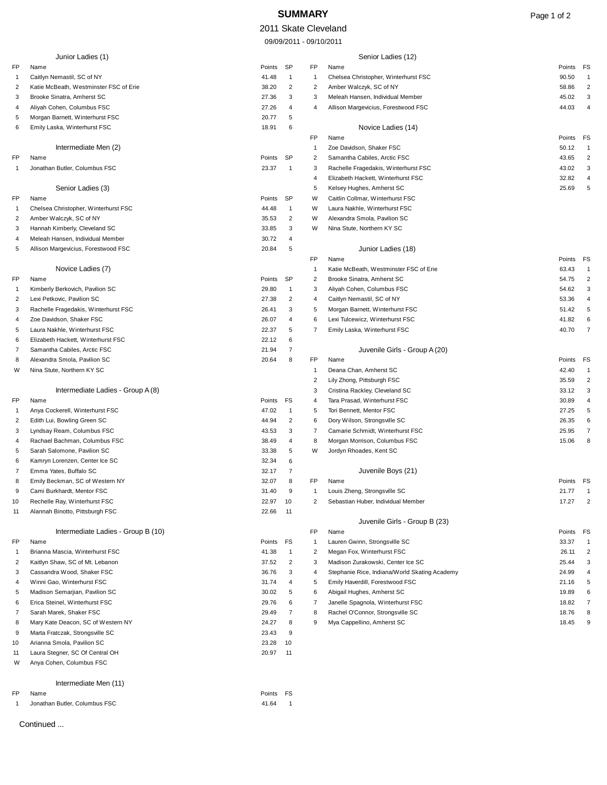# **SUMMARY** Page 1 of 2

## 2011 Skate Cleveland

09/09/2011 - 09/10/2011

|              | Junior Ladies (1)                                                |                |                     |              | Senior Ladies (12)                                                 |                 |                      |
|--------------|------------------------------------------------------------------|----------------|---------------------|--------------|--------------------------------------------------------------------|-----------------|----------------------|
| FP           | Name                                                             | Points         | SP                  | FP           | Name                                                               | Points          | FS                   |
| $\mathbf{1}$ | Caitlyn Nemastil, SC of NY                                       | 41.48          | $\mathbf{1}$        | $\mathbf{1}$ | Chelsea Christopher, Winterhurst FSC                               | 90.50           | $\overline{1}$       |
| 2            | Katie McBeath, Westminster FSC of Erie                           | 38.20          | $\overline{2}$      | 2            | Amber Walczyk, SC of NY                                            | 58.86           | $\overline{c}$       |
| 3            | Brooke Sinatra, Amherst SC                                       | 27.36          | 3                   | 3            | Meleah Hansen, Individual Member                                   | 45.02           | 3                    |
| 4            | Aliyah Cohen, Columbus FSC                                       | 27.26          | 4                   | 4            | Allison Margevicius, Forestwood FSC                                | 44.03           | $\overline{a}$       |
| 5            | Morgan Barnett, Winterhurst FSC                                  | 20.77          | 5                   |              |                                                                    |                 |                      |
| 6            | Emily Laska, Winterhurst FSC                                     | 18.91          | 6                   |              | Novice Ladies (14)                                                 |                 |                      |
|              | Intermediate Men (2)                                             |                |                     | FP<br>1      | Name<br>Zoe Davidson, Shaker FSC                                   | Points<br>50.12 | FS<br>$\overline{1}$ |
| FP           | Name                                                             | Points         | SP                  | 2            | Samantha Cabiles, Arctic FSC                                       | 43.65           | $\overline{2}$       |
| $\mathbf{1}$ | Jonathan Butler, Columbus FSC                                    | 23.37          | $\overline{1}$      | 3            | Rachelle Fragedakis, Winterhurst FSC                               | 43.02           | 3                    |
|              |                                                                  |                |                     | 4            | Elizabeth Hackett, Winterhurst FSC                                 | 32.82           | 4                    |
|              | Senior Ladies (3)                                                |                |                     | 5            | Kelsey Hughes, Amherst SC                                          | 25.69           | 5                    |
| FP           | Name                                                             | Points         | SP                  | W            | Caitlin Collmar, Winterhurst FSC                                   |                 |                      |
| -1           | Chelsea Christopher, Winterhurst FSC                             | 44.48          | -1                  | W            | Laura Nakhle, Winterhurst FSC                                      |                 |                      |
| 2            | Amber Walczyk, SC of NY                                          | 35.53          | $\overline{2}$      | W            | Alexandra Smola, Pavilion SC                                       |                 |                      |
| 3            | Hannah Kimberly, Cleveland SC                                    | 33.85          | 3                   | W            | Nina Stute, Northern KY SC                                         |                 |                      |
| 4            | Meleah Hansen, Individual Member                                 | 30.72          | 4                   |              |                                                                    |                 |                      |
| 5            | Allison Margevicius, Forestwood FSC                              | 20.84          | 5                   |              | Junior Ladies (18)                                                 |                 |                      |
|              |                                                                  |                |                     | FP           | Name                                                               | Points          | FS                   |
|              | Novice Ladies (7)                                                |                |                     | -1           | Katie McBeath, Westminster FSC of Erie                             | 63.43           | $\overline{1}$       |
| FP           | Name                                                             | Points         | SP                  | 2            | Brooke Sinatra, Amherst SC                                         | 54.75           | $\overline{2}$       |
| $\mathbf{1}$ | Kimberly Berkovich, Pavilion SC                                  | 29.80          | -1                  | 3            | Aliyah Cohen, Columbus FSC                                         | 54.62           | 3                    |
| 2            | Lexi Petkovic, Pavilion SC                                       | 27.38          | $\overline{2}$<br>3 | 4            | Caitlyn Nemastil, SC of NY                                         | 53.36<br>51.42  | 4                    |
| 3<br>4       | Rachelle Fragedakis, Winterhurst FSC<br>Zoe Davidson, Shaker FSC | 26.41<br>26.07 | 4                   | 5<br>6       | Morgan Barnett, Winterhurst FSC<br>Lexi Tulcewicz, Winterhurst FSC | 41.82           | 5<br>6               |
| 5            | Laura Nakhle, Winterhurst FSC                                    | 22.37          | 5                   | 7            | Emily Laska, Winterhurst FSC                                       | 40.70           | $\overline{7}$       |
| 6            | Elizabeth Hackett, Winterhurst FSC                               | 22.12          | 6                   |              |                                                                    |                 |                      |
| 7            | Samantha Cabiles, Arctic FSC                                     | 21.94          | 7                   |              | Juvenile Girls - Group A (20)                                      |                 |                      |
| 8            | Alexandra Smola, Pavilion SC                                     | 20.64          | 8                   | FP           | Name                                                               | Points          | FS                   |
| W            | Nina Stute, Northern KY SC                                       |                |                     | -1           | Deana Chan, Amherst SC                                             | 42.40           | $\overline{1}$       |
|              |                                                                  |                |                     | 2            | Lily Zhong, Pittsburgh FSC                                         | 35.59           | $\overline{2}$       |
|              | Intermediate Ladies - Group A (8)                                |                |                     | 3            | Cristina Rackley, Cleveland SC                                     | 33.12           | 3                    |
| FP           | Name                                                             | Points         | FS                  | 4            | Tara Prasad, Winterhurst FSC                                       | 30.89           | 4                    |
| -1           | Anya Cockerell, Winterhurst FSC                                  | 47.02          | $\mathbf{1}$        | 5            | Tori Bennett, Mentor FSC                                           | 27.25           | 5                    |
| 2            | Edith Lui, Bowling Green SC                                      | 44.94          | $\overline{2}$      | 6            | Dory Wilson, Strongsville SC                                       | 26.35           | 6                    |
| 3            | Lyndsay Ream, Columbus FSC                                       | 43.53          | 3                   | 7            | Camarie Schmidt, Winterhurst FSC                                   | 25.95           | $\overline{7}$       |
| 4            | Rachael Bachman, Columbus FSC                                    | 38.49          | 4                   | 8            | Morgan Morrison, Columbus FSC                                      | 15.06           | 8                    |
| 5            | Sarah Salomone, Pavilion SC                                      | 33.38          | 5                   | W            | Jordyn Rhoades, Kent SC                                            |                 |                      |
| 6            | Kamryn Lorenzen, Center Ice SC                                   | 32.34          | 6                   |              |                                                                    |                 |                      |
| 7            | Emma Yates, Buffalo SC                                           | 32.17          | $\overline{7}$<br>8 |              | Juvenile Boys (21)<br>Name                                         | Points          |                      |
| 8<br>9       | Emily Beckman, SC of Western NY                                  | 32.07<br>31.40 | 9                   | FP<br>1      | Louis Zheng, Strongsville SC                                       | 21.77           | FS<br>-1             |
| 10           | Cami Burkhardt, Mentor FSC<br>Rechelle Ray, Winterhurst FSC      | 22.97          | 10                  | 2            | Sebastian Huber, Individual Member                                 | 17.27           | 2                    |
| 11           | Alannah Binotto, Pittsburgh FSC                                  | 22.66          | 11                  |              |                                                                    |                 |                      |
|              |                                                                  |                |                     |              | Juvenile Girls - Group B (23)                                      |                 |                      |
|              | Intermediate Ladies - Group B (10)                               |                |                     | FP           | Name                                                               | Points          | FS                   |
| FP           | Name                                                             | Points         | FS                  | 1            | Lauren Gwinn, Strongsville SC                                      | 33.37           | $\overline{1}$       |
| $\mathbf{1}$ | Brianna Mascia, Winterhurst FSC                                  | 41.38          | $\mathbf{1}$        | 2            | Megan Fox, Winterhurst FSC                                         | 26.11           | $\overline{c}$       |
| 2            | Kaitlyn Shaw, SC of Mt. Lebanon                                  | 37.52          | $\overline{2}$      | 3            | Madison Zurakowski, Center Ice SC                                  | 25.44           | 3                    |
| 3            | Cassandra Wood, Shaker FSC                                       | 36.76          | 3                   | 4            | Stephanie Rice, Indiana/World Skating Academy                      | 24.99           | 4                    |
| 4            | Winni Gao, Winterhurst FSC                                       | 31.74          | 4                   | 5            | Emily Haverdill, Forestwood FSC                                    | 21.16           | 5                    |
| 5            | Madison Semarjian, Pavilion SC                                   | 30.02          | 5                   | 6            | Abigail Hughes, Amherst SC                                         | 19.89           | 6                    |
| 6            | Erica Steinel, Winterhurst FSC                                   | 29.76          | 6                   | 7            | Janelle Spagnola, Winterhurst FSC                                  | 18.82           | 7                    |
| 7            | Sarah Marek, Shaker FSC                                          | 29.49          | $\overline{7}$      | 8            | Rachel O'Connor, Strongsville SC                                   | 18.76           | 8                    |
| 8            | Mary Kate Deacon, SC of Western NY                               | 24.27          | 8                   | 9            | Mya Cappellino, Amherst SC                                         | 18.45           | 9                    |
| 9            | Marta Fratczak, Strongsville SC                                  | 23.43          | 9                   |              |                                                                    |                 |                      |
| 10           | Arianna Smola, Pavilion SC<br>Laura Stegner, SC Of Central OH    | 23.28          | 10                  |              |                                                                    |                 |                      |
| 11<br>W      | Anya Cohen, Columbus FSC                                         | 20.97          | 11                  |              |                                                                    |                 |                      |
|              |                                                                  |                |                     |              |                                                                    |                 |                      |
|              | Intermediate Men (11)                                            |                |                     |              |                                                                    |                 |                      |
| FP           | Name                                                             | Points FS      |                     |              |                                                                    |                 |                      |

1 Jonathan Butler, Columbus FSC 41.64 1

Continued ...